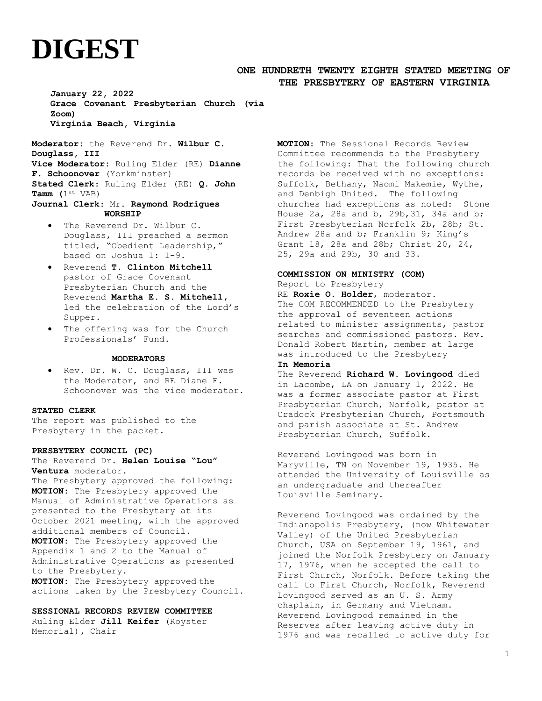# **DIGEST**

# **ONE HUNDRETH TWENTY EIGHTH STATED MEETING OF THE PRESBYTERY OF EASTERN VIRGINIA**

**January 22, 2022 Grace Covenant Presbyterian Church (via Zoom) Virginia Beach, Virginia**

**Moderator:** the Reverend Dr. **Wilbur C. Douglass, III Vice Moderator:** Ruling Elder (RE) **Dianne F. Schoonover** (Yorkminster) **Stated Clerk**: Ruling Elder (RE) **Q. John Tamm (**1st VAB) **Journal Clerk:** Mr. **Raymond Rodrigues**

## **WORSHIP**

- The Reverend Dr. Wilbur C. Douglass, III preached a sermon titled, "Obedient Leadership," based on Joshua 1: 1-9.
- Reverend **T. Clinton Mitchell** pastor of Grace Covenant Presbyterian Church and the Reverend **Martha E. S. Mitchell,** led the celebration of the Lord's Supper.
- The offering was for the Church Professionals' Fund**.**

## **MODERATORS**

• Rev. Dr. W. C. Douglass, III was the Moderator, and RE Diane F. Schoonover was the vice moderator.

### **STATED CLERK**

The report was published to the Presbytery in the packet.

#### **PRESBYTERY COUNCIL (PC)**

The Reverend Dr. **Helen Louise "Lou" Ventura** moderator.

The Presbytery approved the following: **MOTION:** The Presbytery approved the Manual of Administrative Operations as presented to the Presbytery at its October 2021 meeting, with the approved additional members of Council. **MOTION:** The Presbytery approved the Appendix 1 and 2 to the Manual of Administrative Operations as presented to the Presbytery. **MOTION:** The Presbytery approved the actions taken by the Presbytery Council.

#### **SESSIONAL RECORDS REVIEW COMMITTEE**

Ruling Elder **Jill Keifer** (Royster Memorial)**,** Chair

**MOTION**: The Sessional Records Review Committee recommends to the Presbytery the following: That the following church records be received with no exceptions: Suffolk, Bethany, Naomi Makemie, Wythe, and Denbigh United. The following churches had exceptions as noted: Stone House 2a, 28a and b, 29b,31, 34a and b; First Presbyterian Norfolk 2b, 28b; St. Andrew 28a and b; Franklin 9; King's Grant 18, 28a and 28b; Christ 20, 24, 25, 29a and 29b, 30 and 33.

## **COMMISSION ON MINISTRY (COM)**

Report to Presbytery RE **Roxie O. Holder**, moderator. The COM RECOMMENDED to the Presbytery the approval of seventeen actions related to minister assignments, pastor searches and commissioned pastors. Rev. Donald Robert Martin, member at large was introduced to the Presbytery

## **In Memoria**

The Reverend **Richard W. Lovingood** died in Lacombe, LA on January 1, 2022. He was a former associate pastor at First Presbyterian Church, Norfolk, pastor at Cradock Presbyterian Church, Portsmouth and parish associate at St. Andrew Presbyterian Church, Suffolk.

Reverend Lovingood was born in Maryville, TN on November 19, 1935. He attended the University of Louisville as an undergraduate and thereafter Louisville Seminary.

Reverend Lovingood was ordained by the Indianapolis Presbytery, (now Whitewater Valley) of the United Presbyterian Church, USA on September 19, 1961, and joined the Norfolk Presbytery on January 17, 1976, when he accepted the call to First Church, Norfolk. Before taking the call to First Church, Norfolk, Reverend Lovingood served as an U. S. Army chaplain, in Germany and Vietnam. Reverend Lovingood remained in the Reserves after leaving active duty in 1976 and was recalled to active duty for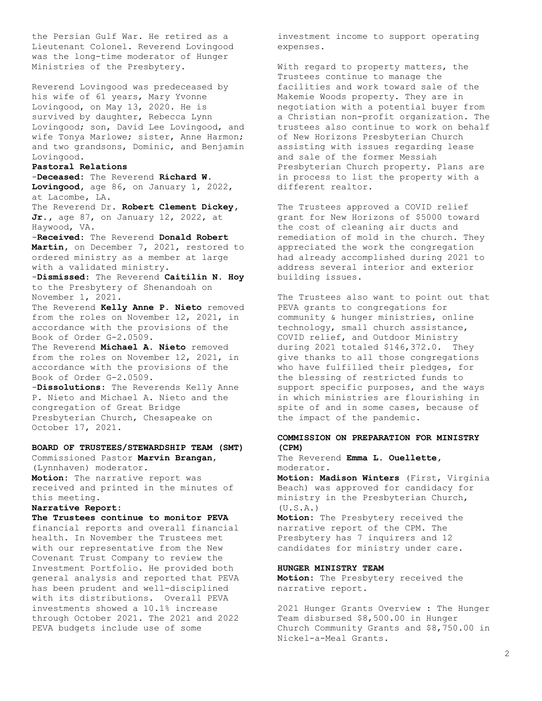the Persian Gulf War. He retired as a Lieutenant Colonel. Reverend Lovingood was the long-time moderator of Hunger Ministries of the Presbytery.

Reverend Lovingood was predeceased by his wife of 61 years, Mary Yvonne Lovingood, on May 13, 2020. He is survived by daughter, Rebecca Lynn Lovingood; son, David Lee Lovingood, and wife Tonya Marlowe; sister, Anne Harmon; and two grandsons, Dominic, and Benjamin Lovingood.

## **Pastoral Relations**

-**Deceased:** The Reverend **Richard W. Lovingood,** age 86, on January 1, 2022, at Lacombe, LA.

The Reverend Dr. **Robert Clement Dickey, Jr.,** age 87, on January 12, 2022, at Haywood, VA.

-**Received**: The Reverend **Donald Robert Martin,** on December 7, 2021, restored to ordered ministry as a member at large with a validated ministry.

-**Dismissed**: The Reverend **Caitilin N. Hoy** to the Presbytery of Shenandoah on November 1, 2021.

The Reverend **Kelly Anne P. Nieto** removed from the roles on November 12, 2021, in accordance with the provisions of the Book of Order G-2.0509.

The Reverend **Michael A. Nieto** removed from the roles on November 12, 2021, in accordance with the provisions of the Book of Order G-2.0509.

-**Dissolutions**: The Reverends Kelly Anne P. Nieto and Michael A. Nieto and the congregation of Great Bridge Presbyterian Church, Chesapeake on October 17, 2021.

# **BOARD OF TRUSTEES/STEWARDSHIP TEAM (SMT)** Commissioned Pastor **Marvin Brangan**,

(Lynnhaven) moderator. **Motion:** The narrative report was received and printed in the minutes of this meeting.

# **Narrative Report:**

**The Trustees continue to monitor PEVA**  financial reports and overall financial health. In November the Trustees met with our representative from the New Covenant Trust Company to review the Investment Portfolio. He provided both general analysis and reported that PEVA has been prudent and well-disciplined with its distributions. Overall PEVA investments showed a 10.1% increase through October 2021. The 2021 and 2022 PEVA budgets include use of some

investment income to support operating expenses.

With regard to property matters, the Trustees continue to manage the facilities and work toward sale of the Makemie Woods property. They are in negotiation with a potential buyer from a Christian non-profit organization. The trustees also continue to work on behalf of New Horizons Presbyterian Church assisting with issues regarding lease and sale of the former Messiah Presbyterian Church property. Plans are in process to list the property with a different realtor.

The Trustees approved a COVID relief grant for New Horizons of \$5000 toward the cost of cleaning air ducts and remediation of mold in the church. They appreciated the work the congregation had already accomplished during 2021 to address several interior and exterior building issues.

The Trustees also want to point out that PEVA grants to congregations for community & hunger ministries, online technology, small church assistance, COVID relief, and Outdoor Ministry during 2021 totaled \$146,372.0. They give thanks to all those congregations who have fulfilled their pledges, for the blessing of restricted funds to support specific purposes, and the ways in which ministries are flourishing in spite of and in some cases, because of the impact of the pandemic.

# **COMMISSION ON PREPARATION FOR MINISTRY (CPM)**

## The Reverend **Emma L. Ouellette,** moderator.

**Motion: Madison Winters** (First, Virginia Beach) was approved for candidacy for ministry in the Presbyterian Church,  $(U.S.A.)$ 

**Motion:** The Presbytery received the narrative report of the CPM. The Presbytery has 7 inquirers and 12 candidates for ministry under care.

## **HUNGER MINISTRY TEAM**

**Motion:** The Presbytery received the narrative report.

2021 Hunger Grants Overview : The Hunger Team disbursed \$8,500.00 in Hunger Church Community Grants and \$8,750.00 in Nickel-a-Meal Grants.